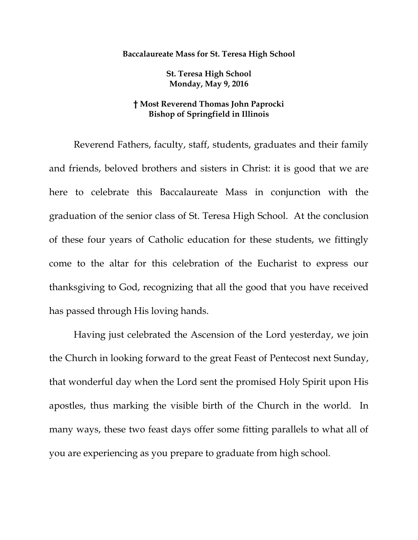## **Baccalaureate Mass for St. Teresa High School**

**St. Teresa High School Monday, May 9, 2016**

## **† Most Reverend Thomas John Paprocki Bishop of Springfield in Illinois**

Reverend Fathers, faculty, staff, students, graduates and their family and friends, beloved brothers and sisters in Christ: it is good that we are here to celebrate this Baccalaureate Mass in conjunction with the graduation of the senior class of St. Teresa High School. At the conclusion of these four years of Catholic education for these students, we fittingly come to the altar for this celebration of the Eucharist to express our thanksgiving to God, recognizing that all the good that you have received has passed through His loving hands.

Having just celebrated the Ascension of the Lord yesterday, we join the Church in looking forward to the great Feast of Pentecost next Sunday, that wonderful day when the Lord sent the promised Holy Spirit upon His apostles, thus marking the visible birth of the Church in the world. In many ways, these two feast days offer some fitting parallels to what all of you are experiencing as you prepare to graduate from high school.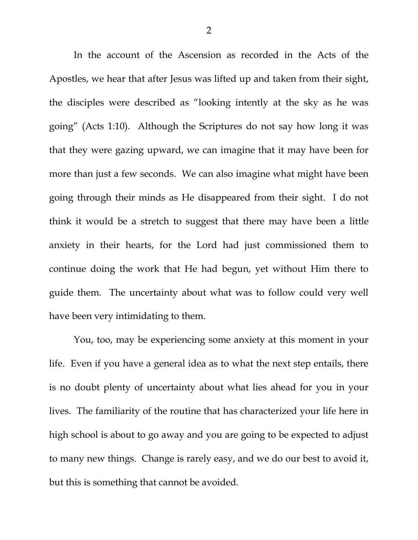In the account of the Ascension as recorded in the Acts of the Apostles, we hear that after Jesus was lifted up and taken from their sight, the disciples were described as "looking intently at the sky as he was going" (Acts 1:10). Although the Scriptures do not say how long it was that they were gazing upward, we can imagine that it may have been for more than just a few seconds. We can also imagine what might have been going through their minds as He disappeared from their sight. I do not think it would be a stretch to suggest that there may have been a little anxiety in their hearts, for the Lord had just commissioned them to continue doing the work that He had begun, yet without Him there to guide them. The uncertainty about what was to follow could very well have been very intimidating to them.

You, too, may be experiencing some anxiety at this moment in your life. Even if you have a general idea as to what the next step entails, there is no doubt plenty of uncertainty about what lies ahead for you in your lives. The familiarity of the routine that has characterized your life here in high school is about to go away and you are going to be expected to adjust to many new things. Change is rarely easy, and we do our best to avoid it, but this is something that cannot be avoided.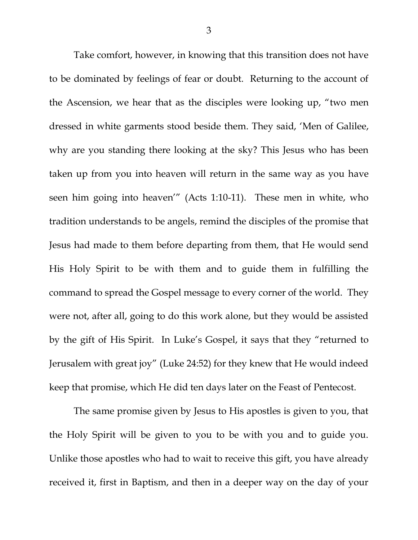Take comfort, however, in knowing that this transition does not have to be dominated by feelings of fear or doubt. Returning to the account of the Ascension, we hear that as the disciples were looking up, "two men dressed in white garments stood beside them. They said, 'Men of Galilee, why are you standing there looking at the sky? This Jesus who has been taken up from you into heaven will return in the same way as you have seen him going into heaven'" (Acts 1:10-11). These men in white, who tradition understands to be angels, remind the disciples of the promise that Jesus had made to them before departing from them, that He would send His Holy Spirit to be with them and to guide them in fulfilling the command to spread the Gospel message to every corner of the world. They were not, after all, going to do this work alone, but they would be assisted by the gift of His Spirit. In Luke's Gospel, it says that they "returned to Jerusalem with great joy" (Luke 24:52) for they knew that He would indeed keep that promise, which He did ten days later on the Feast of Pentecost.

The same promise given by Jesus to His apostles is given to you, that the Holy Spirit will be given to you to be with you and to guide you. Unlike those apostles who had to wait to receive this gift, you have already received it, first in Baptism, and then in a deeper way on the day of your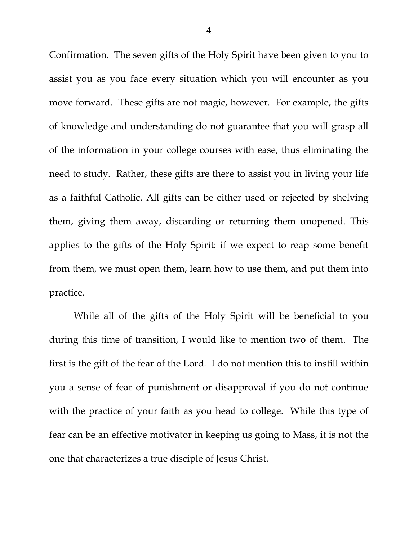Confirmation. The seven gifts of the Holy Spirit have been given to you to assist you as you face every situation which you will encounter as you move forward. These gifts are not magic, however. For example, the gifts of knowledge and understanding do not guarantee that you will grasp all of the information in your college courses with ease, thus eliminating the need to study. Rather, these gifts are there to assist you in living your life as a faithful Catholic. All gifts can be either used or rejected by shelving them, giving them away, discarding or returning them unopened. This applies to the gifts of the Holy Spirit: if we expect to reap some benefit from them, we must open them, learn how to use them, and put them into practice.

While all of the gifts of the Holy Spirit will be beneficial to you during this time of transition, I would like to mention two of them. The first is the gift of the fear of the Lord. I do not mention this to instill within you a sense of fear of punishment or disapproval if you do not continue with the practice of your faith as you head to college. While this type of fear can be an effective motivator in keeping us going to Mass, it is not the one that characterizes a true disciple of Jesus Christ.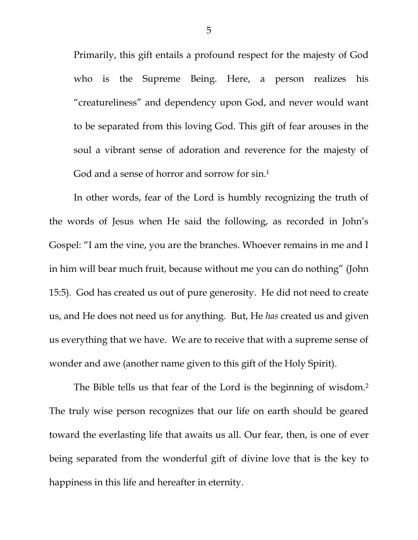Primarily, this gift entails a profound respect for the majesty of God who is the Supreme Being. Here, a person realizes his "creatureliness" and dependency upon God, and never would want to be separated from this loving God. This gift of fear arouses in the soul a vibrant sense of adoration and reverence for the majesty of God and a sense of horror and sorrow for sin.<sup>1</sup>

In other words, fear of the Lord is humbly recognizing the truth of the words of Jesus when He said the following, as recorded in John's Gospel: "I am the vine, you are the branches. Whoever remains in me and I in him will bear much fruit, because without me you can do nothing" (John 15:5). God has created us out of pure generosity. He did not need to create us, and He does not need us for anything. But, He *has* created us and given us everything that we have. We are to receive that with a supreme sense of wonder and awe (another name given to this gift of the Holy Spirit).

The Bible tells us that fear of the Lord is the beginning of wisdom.<sup>2</sup> The truly wise person recognizes that our life on earth should be geared toward the everlasting life that awaits us all. Our fear, then, is one of ever being separated from the wonderful gift of divine love that is the key to happiness in this life and hereafter in eternity.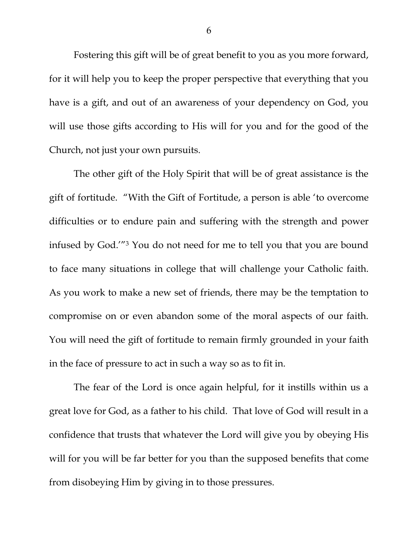Fostering this gift will be of great benefit to you as you more forward, for it will help you to keep the proper perspective that everything that you have is a gift, and out of an awareness of your dependency on God, you will use those gifts according to His will for you and for the good of the Church, not just your own pursuits.

The other gift of the Holy Spirit that will be of great assistance is the gift of fortitude. "With the Gift of Fortitude, a person is able 'to overcome difficulties or to endure pain and suffering with the strength and power infused by God.'"<sup>3</sup> You do not need for me to tell you that you are bound to face many situations in college that will challenge your Catholic faith. As you work to make a new set of friends, there may be the temptation to compromise on or even abandon some of the moral aspects of our faith. You will need the gift of fortitude to remain firmly grounded in your faith in the face of pressure to act in such a way so as to fit in.

The fear of the Lord is once again helpful, for it instills within us a great love for God, as a father to his child. That love of God will result in a confidence that trusts that whatever the Lord will give you by obeying His will for you will be far better for you than the supposed benefits that come from disobeying Him by giving in to those pressures.

6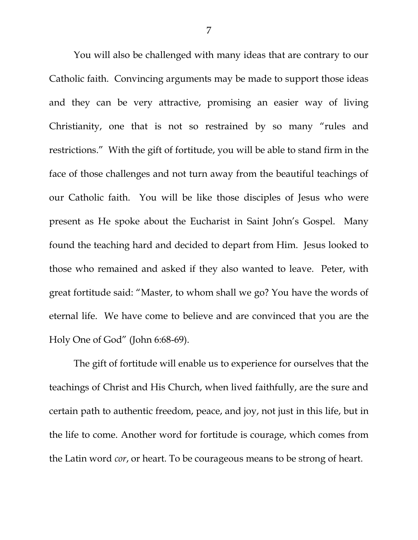You will also be challenged with many ideas that are contrary to our Catholic faith. Convincing arguments may be made to support those ideas and they can be very attractive, promising an easier way of living Christianity, one that is not so restrained by so many "rules and restrictions." With the gift of fortitude, you will be able to stand firm in the face of those challenges and not turn away from the beautiful teachings of our Catholic faith. You will be like those disciples of Jesus who were present as He spoke about the Eucharist in Saint John's Gospel. Many found the teaching hard and decided to depart from Him. Jesus looked to those who remained and asked if they also wanted to leave. Peter, with great fortitude said: "Master, to whom shall we go? You have the words of eternal life. We have come to believe and are convinced that you are the Holy One of God" (John 6:68-69).

The gift of fortitude will enable us to experience for ourselves that the teachings of Christ and His Church, when lived faithfully, are the sure and certain path to authentic freedom, peace, and joy, not just in this life, but in the life to come. Another word for fortitude is courage, which comes from the Latin word *cor*, or heart. To be courageous means to be strong of heart.